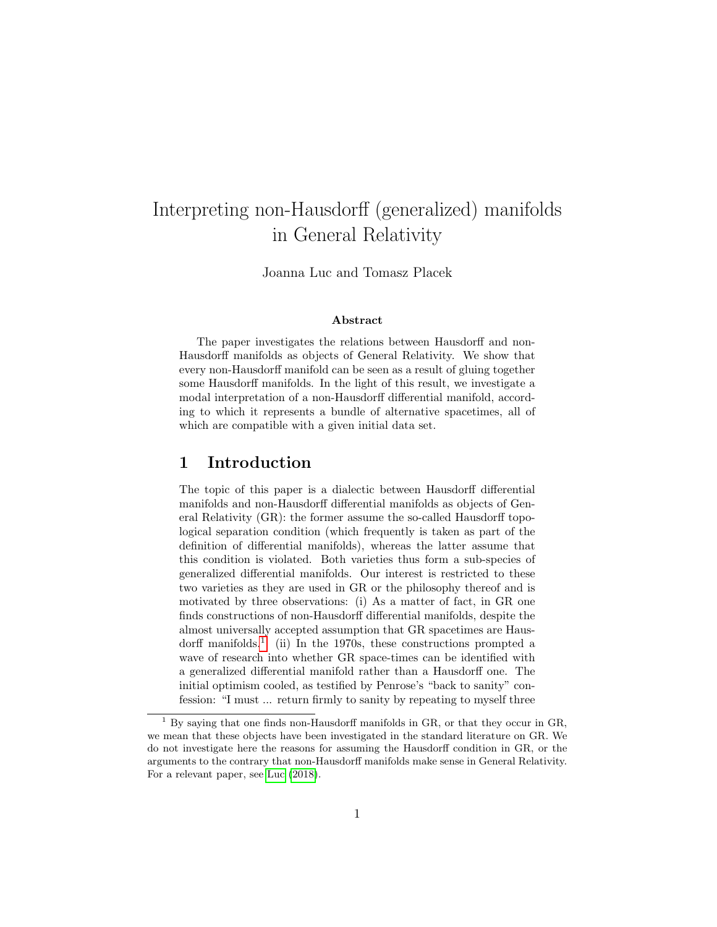# Interpreting non-Hausdorff (generalized) manifolds in General Relativity

Joanna Luc and Tomasz Placek

#### Abstract

The paper investigates the relations between Hausdorff and non-Hausdorff manifolds as objects of General Relativity. We show that every non-Hausdorff manifold can be seen as a result of gluing together some Hausdorff manifolds. In the light of this result, we investigate a modal interpretation of a non-Hausdorff differential manifold, according to which it represents a bundle of alternative spacetimes, all of which are compatible with a given initial data set.

### 1 Introduction

The topic of this paper is a dialectic between Hausdorff differential manifolds and non-Hausdorff differential manifolds as objects of General Relativity (GR): the former assume the so-called Hausdorff topological separation condition (which frequently is taken as part of the definition of differential manifolds), whereas the latter assume that this condition is violated. Both varieties thus form a sub-species of generalized differential manifolds. Our interest is restricted to these two varieties as they are used in GR or the philosophy thereof and is motivated by three observations: (i) As a matter of fact, in GR one finds constructions of non-Hausdorff differential manifolds, despite the almost universally accepted assumption that GR spacetimes are Haus-dorff manifolds.<sup>[1](#page-0-0)</sup> (ii) In the 1970s, these constructions prompted a wave of research into whether GR space-times can be identified with a generalized differential manifold rather than a Hausdorff one. The initial optimism cooled, as testified by Penrose's "back to sanity" confession: "I must ... return firmly to sanity by repeating to myself three

<span id="page-0-0"></span><sup>&</sup>lt;sup>1</sup> By saying that one finds non-Hausdorff manifolds in GR, or that they occur in GR, we mean that these objects have been investigated in the standard literature on GR. We do not investigate here the reasons for assuming the Hausdorff condition in GR, or the arguments to the contrary that non-Hausdorff manifolds make sense in General Relativity. For a relevant paper, see [Luc](#page-19-0) [\(2018\)](#page-19-0).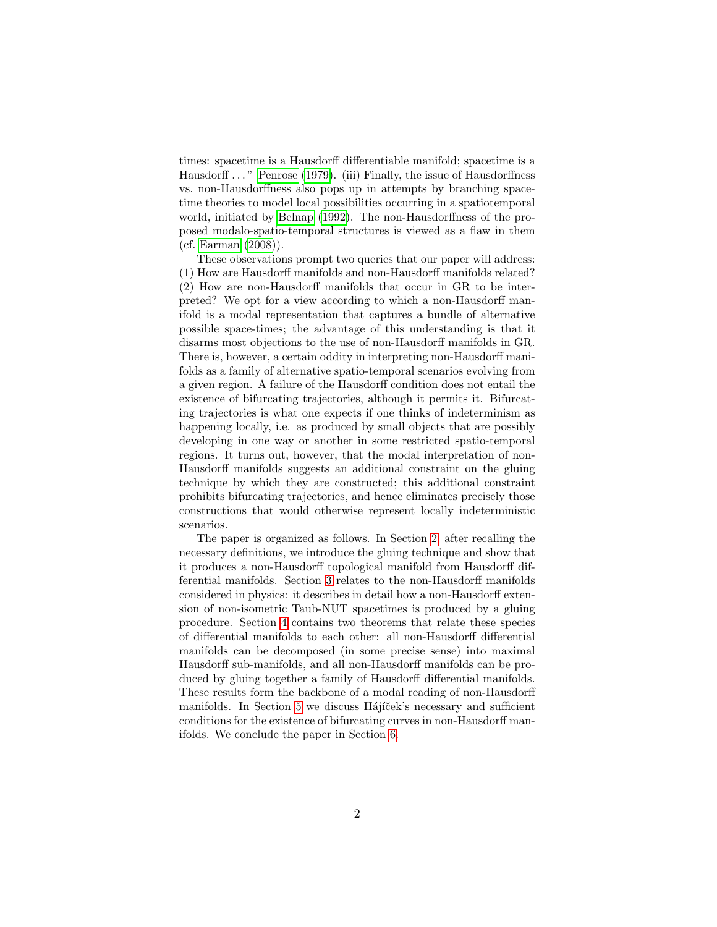times: spacetime is a Hausdorff differentiable manifold; spacetime is a Hausdorff ..." [Penrose \(1979\)](#page-19-1). (iii) Finally, the issue of Hausdorffness vs. non-Hausdorffness also pops up in attempts by branching spacetime theories to model local possibilities occurring in a spatiotemporal world, initiated by [Belnap \(1992\)](#page-18-0). The non-Hausdorffness of the proposed modalo-spatio-temporal structures is viewed as a flaw in them (cf. [Earman \(2008\)](#page-19-2)).

These observations prompt two queries that our paper will address: (1) How are Hausdorff manifolds and non-Hausdorff manifolds related? (2) How are non-Hausdorff manifolds that occur in GR to be interpreted? We opt for a view according to which a non-Hausdorff manifold is a modal representation that captures a bundle of alternative possible space-times; the advantage of this understanding is that it disarms most objections to the use of non-Hausdorff manifolds in GR. There is, however, a certain oddity in interpreting non-Hausdorff manifolds as a family of alternative spatio-temporal scenarios evolving from a given region. A failure of the Hausdorff condition does not entail the existence of bifurcating trajectories, although it permits it. Bifurcating trajectories is what one expects if one thinks of indeterminism as happening locally, i.e. as produced by small objects that are possibly developing in one way or another in some restricted spatio-temporal regions. It turns out, however, that the modal interpretation of non-Hausdorff manifolds suggests an additional constraint on the gluing technique by which they are constructed; this additional constraint prohibits bifurcating trajectories, and hence eliminates precisely those constructions that would otherwise represent locally indeterministic scenarios.

The paper is organized as follows. In Section [2,](#page-2-0) after recalling the necessary definitions, we introduce the gluing technique and show that it produces a non-Hausdorff topological manifold from Hausdorff differential manifolds. Section [3](#page-6-0) relates to the non-Hausdorff manifolds considered in physics: it describes in detail how a non-Hausdorff extension of non-isometric Taub-NUT spacetimes is produced by a gluing procedure. Section [4](#page-9-0) contains two theorems that relate these species of differential manifolds to each other: all non-Hausdorff differential manifolds can be decomposed (in some precise sense) into maximal Hausdorff sub-manifolds, and all non-Hausdorff manifolds can be produced by gluing together a family of Hausdorff differential manifolds. These results form the backbone of a modal reading of non-Hausdorff manifolds. In Section [5](#page-11-0) we discuss Hájíček's necessary and sufficient conditions for the existence of bifurcating curves in non-Hausdorff manifolds. We conclude the paper in Section [6.](#page-16-0)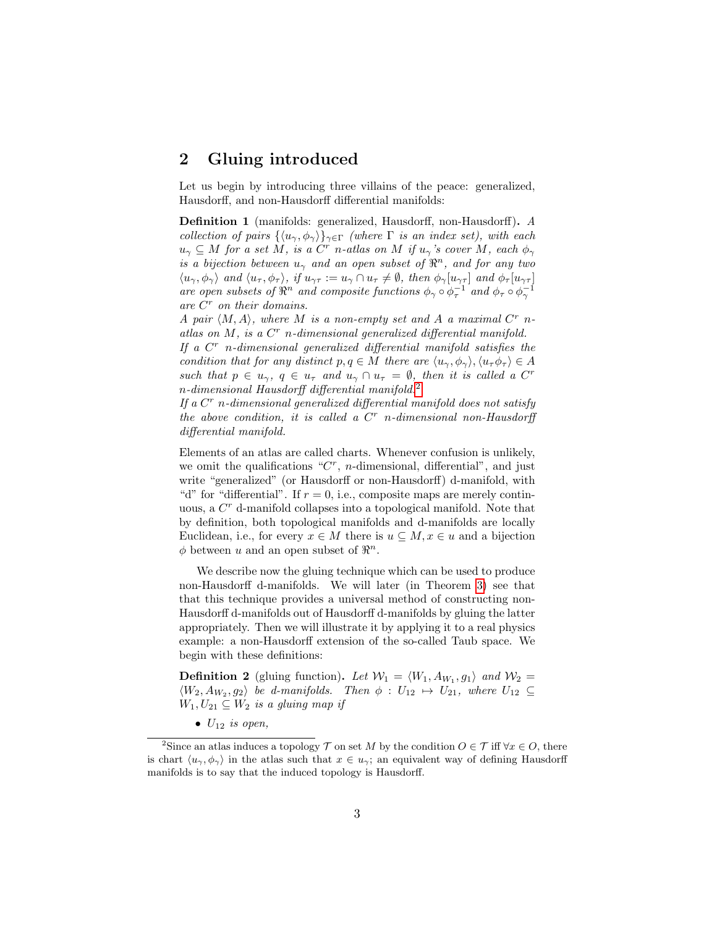# <span id="page-2-0"></span>2 Gluing introduced

Let us begin by introducing three villains of the peace: generalized, Hausdorff, and non-Hausdorff differential manifolds:

Definition 1 (manifolds: generalized, Hausdorff, non-Hausdorff). A collection of pairs  $\{\langle u_{\gamma}, \phi_{\gamma} \rangle\}_{\gamma \in \Gamma}$  (where  $\Gamma$  is an index set), with each  $u_\gamma \subseteq M$  for a set M, is a C<sup>r</sup> n-atlas on M if  $u_\gamma$ 's cover M, each  $\phi_\gamma$ is a bijection between  $u_{\gamma}$  and an open subset of  $\mathbb{R}^{n}$ , and for any two  $\langle u_\gamma, \phi_\gamma \rangle$  and  $\langle u_\tau, \phi_\tau \rangle$ , if  $u_{\gamma\tau} := u_\gamma \cap u_\tau \neq \emptyset$ , then  $\phi_\gamma[u_{\gamma\tau}]$  and  $\phi_\tau[u_{\gamma\tau}]$ are open subsets of  $\mathbb{R}^n$  and composite functions  $\phi_\gamma \circ \phi_\tau^{-1}$  and  $\phi_\tau \circ \phi_\gamma^{-1}$ are  $C^r$  on their domains.

A pair  $\langle M, A \rangle$ , where M is a non-empty set and A a maximal  $C^r$  natlas on  $M$ , is a  $C<sup>r</sup>$  n-dimensional generalized differential manifold.

If a  $C<sup>r</sup>$  n-dimensional generalized differential manifold satisfies the condition that for any distinct  $p, q \in M$  there are  $\langle u_{\gamma}, \phi_{\gamma} \rangle, \langle u_{\tau} \phi_{\tau} \rangle \in A$ such that  $p \in u_\gamma$ ,  $q \in u_\tau$  and  $u_\gamma \cap u_\tau = \emptyset$ , then it is called a C<sup>r</sup>  $n$ -dimensional Hausdorff differential manifold.<sup>[2](#page-2-1)</sup>

If a  $C<sup>r</sup>$  n-dimensional generalized differential manifold does not satisfy the above condition, it is called a  $C<sup>r</sup>$  n-dimensional non-Hausdorff differential manifold.

Elements of an atlas are called charts. Whenever confusion is unlikely, we omit the qualifications " $C<sup>r</sup>$ , *n*-dimensional, differential", and just write "generalized" (or Hausdorff or non-Hausdorff) d-manifold, with "d" for "differential". If  $r = 0$ , i.e., composite maps are merely continuous, a  $C<sup>r</sup>$  d-manifold collapses into a topological manifold. Note that by definition, both topological manifolds and d-manifolds are locally Euclidean, i.e., for every  $x \in M$  there is  $u \subseteq M, x \in u$  and a bijection  $\phi$  between u and an open subset of  $\mathbb{R}^n$ .

We describe now the gluing technique which can be used to produce non-Hausdorff d-manifolds. We will later (in Theorem [3\)](#page-10-0) see that that this technique provides a universal method of constructing non-Hausdorff d-manifolds out of Hausdorff d-manifolds by gluing the latter appropriately. Then we will illustrate it by applying it to a real physics example: a non-Hausdorff extension of the so-called Taub space. We begin with these definitions:

<span id="page-2-2"></span>**Definition 2** (gluing function). Let  $W_1 = \langle W_1, A_{W_1}, g_1 \rangle$  and  $W_2 =$  $\langle W_2, A_{W_2}, g_2 \rangle$  be d-manifolds. Then  $\phi : U_{12} \mapsto U_{21}$ , where  $U_{12} \subseteq$  $W_1, U_{21} \subseteq W_2$  is a gluing map if

 $\bullet$   $U_{12}$  is open,

<span id="page-2-1"></span><sup>&</sup>lt;sup>2</sup>Since an atlas induces a topology  $\mathcal T$  on set M by the condition  $O \in \mathcal T$  iff  $\forall x \in O$ , there is chart  $\langle u_{\gamma}, \phi_{\gamma} \rangle$  in the atlas such that  $x \in u_{\gamma}$ ; an equivalent way of defining Hausdorff manifolds is to say that the induced topology is Hausdorff.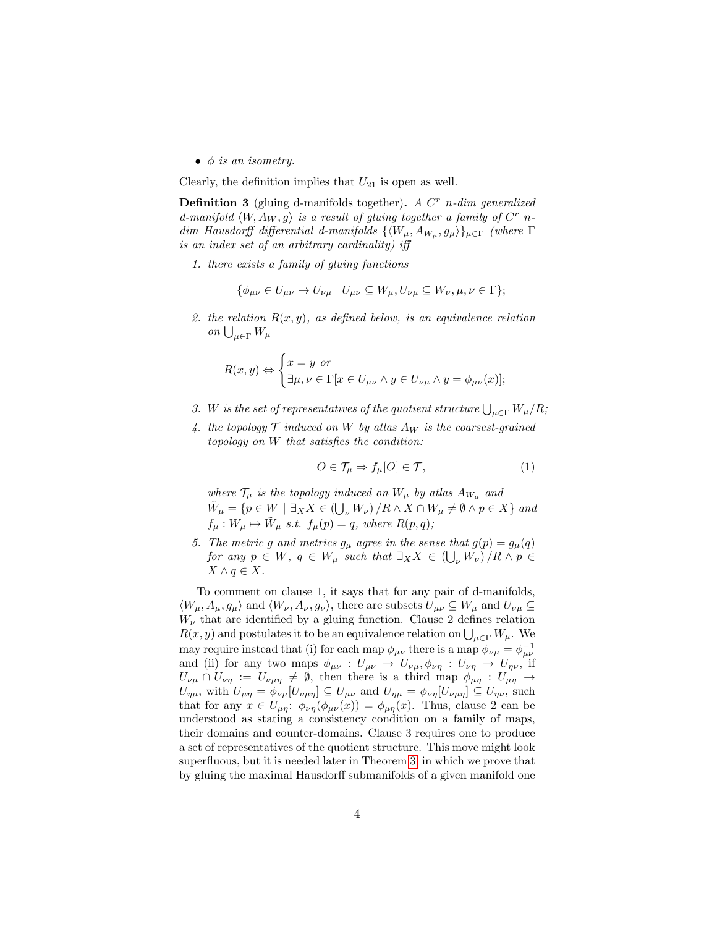$\bullet$   $\phi$  is an isometry.

Clearly, the definition implies that  $U_{21}$  is open as well.

<span id="page-3-0"></span>**Definition 3** (gluing d-manifolds together). A  $C<sup>r</sup>$  n-dim generalized d-manifold  $\langle W, A_W, g \rangle$  is a result of gluing together a family of  $C^r$  ndim Hausdorff differential d-manifolds  $\{ \langle W_\mu, A_{W_\mu}, g_\mu \rangle \}_{\mu \in \Gamma}$  (where  $\Gamma$ ) is an index set of an arbitrary cardinality) iff

1. there exists a family of gluing functions

$$
\{\phi_{\mu\nu} \in U_{\mu\nu} \mapsto U_{\nu\mu} \mid U_{\mu\nu} \subseteq W_{\mu}, U_{\nu\mu} \subseteq W_{\nu}, \mu, \nu \in \Gamma\};
$$

2. the relation  $R(x, y)$ , as defined below, is an equivalence relation on  $\bigcup_{\mu \in \Gamma} W_{\mu}$ 

$$
R(x,y) \Leftrightarrow \begin{cases} x = y \text{ or} \\ \exists \mu, \nu \in \Gamma[x \in U_{\mu\nu} \land y \in U_{\nu\mu} \land y = \phi_{\mu\nu}(x)]; \end{cases}
$$

- 3. W is the set of representatives of the quotient structure  $\bigcup_{\mu \in \Gamma} W_{\mu}/R$ ;
- 4. the topology  $\mathcal T$  induced on W by atlas  $A_W$  is the coarsest-grained topology on W that satisfies the condition:

<span id="page-3-1"></span>
$$
O \in \mathcal{T}_{\mu} \Rightarrow f_{\mu}[O] \in \mathcal{T},\tag{1}
$$

where  $\mathcal{T}_{\mu}$  is the topology induced on  $W_{\mu}$  by atlas  $A_{W_{\mu}}$  and  $\tilde{W}_{\mu} = \{p \in W \mid \exists_{X} X \in (\bigcup_{\nu} W_{\nu}) / R \wedge X \cap W_{\mu} \neq \emptyset \wedge p \in X\}$  and  $f_{\mu}: W_{\mu} \mapsto \tilde{W}_{\mu} \text{ s.t. } f_{\mu}(p) = q, \text{ where } R(p,q);$ 

5. The metric g and metrics  $g_{\mu}$  agree in the sense that  $g(p) = g_{\mu}(q)$ for any  $p \in W$ ,  $q \in W_{\mu}$  such that  $\exists_X X \in (\bigcup_{\nu} W_{\nu})/R \wedge p \in$  $X \wedge q \in X$ .

To comment on clause 1, it says that for any pair of d-manifolds,  $\langle W_\mu, A_\mu, g_\mu \rangle$  and  $\langle W_\nu, A_\nu, g_\nu \rangle$ , there are subsets  $U_{\mu\nu} \subseteq W_\mu$  and  $U_{\nu\mu} \subseteq$  $W_{\nu}$  that are identified by a gluing function. Clause 2 defines relation  $R(x, y)$  and postulates it to be an equivalence relation on  $\bigcup_{\mu \in \Gamma} W_{\mu}$ . We may require instead that (i) for each map  $\phi_{\mu\nu}$  there is a map  $\phi_{\nu\mu} = \phi_{\mu\nu}^{-1}$ and (ii) for any two maps  $\phi_{\mu\nu} : U_{\mu\nu} \to U_{\nu\mu}, \phi_{\nu\eta} : U_{\nu\eta} \to U_{\eta\nu}$ , if  $U_{\nu\mu} \cap U_{\nu\eta} := U_{\nu\mu\eta} \neq \emptyset$ , then there is a third map  $\phi_{\mu\eta} : U_{\mu\eta} \to$  $U_{\eta\mu}$ , with  $U_{\mu\eta} = \phi_{\nu\mu} [U_{\nu\mu\eta}] \subseteq U_{\mu\nu}$  and  $U_{\eta\mu} = \phi_{\nu\eta} [U_{\nu\mu\eta}] \subseteq U_{\eta\nu}$ , such that for any  $x \in U_{\mu\eta}$ :  $\phi_{\nu\eta}(\phi_{\mu\nu}(x)) = \phi_{\mu\eta}(x)$ . Thus, clause 2 can be understood as stating a consistency condition on a family of maps, their domains and counter-domains. Clause 3 requires one to produce a set of representatives of the quotient structure. This move might look superfluous, but it is needed later in Theorem [3,](#page-10-0) in which we prove that by gluing the maximal Hausdorff submanifolds of a given manifold one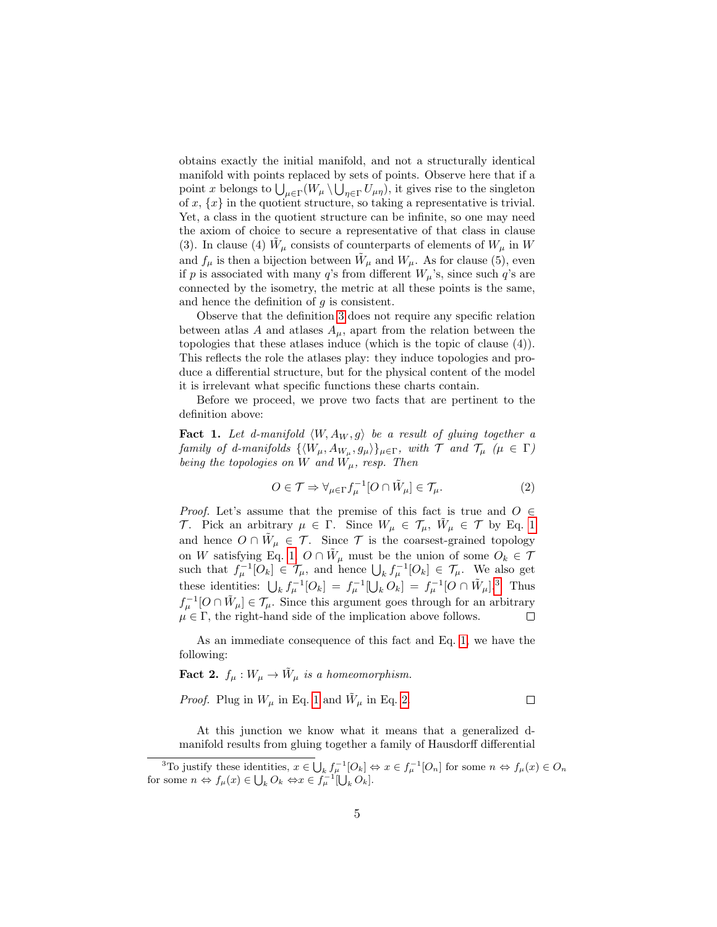obtains exactly the initial manifold, and not a structurally identical manifold with points replaced by sets of points. Observe here that if a point x belongs to  $\bigcup_{\mu \in \Gamma} (W_{\mu} \setminus \bigcup_{\eta \in \Gamma} U_{\mu\eta})$ , it gives rise to the singleton of  $x, \{x\}$  in the quotient structure, so taking a representative is trivial. Yet, a class in the quotient structure can be infinite, so one may need the axiom of choice to secure a representative of that class in clause (3). In clause (4)  $\tilde{W}_{\mu}$  consists of counterparts of elements of  $W_{\mu}$  in W and  $f_{\mu}$  is then a bijection between  $\tilde{W}_{\mu}$  and  $W_{\mu}$ . As for clause (5), even if p is associated with many q's from different  $W_\mu$ 's, since such q's are connected by the isometry, the metric at all these points is the same, and hence the definition of  $q$  is consistent.

Observe that the definition [3](#page-3-0) does not require any specific relation between atlas A and atlases  $A_{\mu}$ , apart from the relation between the topologies that these atlases induce (which is the topic of clause (4)). This reflects the role the atlases play: they induce topologies and produce a differential structure, but for the physical content of the model it is irrelevant what specific functions these charts contain.

Before we proceed, we prove two facts that are pertinent to the definition above:

**Fact 1.** Let d-manifold  $\langle W, A_W, g \rangle$  be a result of gluing together a  $family \ of \ d\text{-manifolds } \{ \langle W_\mu, A_{W_\mu}, g_\mu \rangle \}_{\mu \in \Gamma}, \ with \ \mathcal{T} \ and \ \mathcal{T}_\mu \ \ (\mu \in \Gamma)$ being the topologies on W and  $W_{\mu}$ , resp. Then

<span id="page-4-1"></span>
$$
O \in \mathcal{T} \Rightarrow \forall_{\mu \in \Gamma} f_{\mu}^{-1} [O \cap \tilde{W}_{\mu}] \in \mathcal{T}_{\mu}.
$$
 (2)

*Proof.* Let's assume that the premise of this fact is true and  $O \in$ T. Pick an arbitrary  $\mu \in \Gamma$ . Since  $W_{\mu} \in \mathcal{T}_{\mu}$ ,  $\tilde{W}_{\mu} \in \mathcal{T}$  by Eq. [1](#page-3-1) and hence  $O \cap \tilde{W}_\mu \in \mathcal{T}$ . Since  $\mathcal{T}$  is the coarsest-grained topology on W satisfying Eq. [1,](#page-3-1)  $O \cap W$ <sup> $\tilde{W}_{\mu}$ </sup> must be the union of some  $O_k \in \mathcal{T}$ such that  $f_{\mu}^{-1}[O_k] \in \mathcal{T}_{\mu}$ , and hence  $\bigcup_k f_{\mu}^{-1}[O_k] \in \mathcal{T}_{\mu}$ . We also get these identities:  $\bigcup_k f^{-1}_{\mu} [O_k] = f^{-1}_{\mu} [\bigcup_k O_k] = f^{-1}_{\mu} [O \cap \tilde{W}_{\mu}]$ .<sup>[3](#page-4-0)</sup> Thus  $f_{\mu}^{-1}[O \cap \tilde{W}_{\mu}] \in \mathcal{T}_{\mu}$ . Since this argument goes through for an arbitrary  $\mu \in \Gamma$ , the right-hand side of the implication above follows.  $\Box$ 

As an immediate consequence of this fact and Eq. [1,](#page-3-1) we have the following:

<span id="page-4-2"></span>**Fact 2.**  $f_{\mu}: W_{\mu} \to \tilde{W}_{\mu}$  is a homeomorphism.

*Proof.* Plug in  $W_{\mu}$  in Eq. [1](#page-3-1) and  $\tilde{W}_{\mu}$  in Eq. [2.](#page-4-1)  $\Box$ 

At this junction we know what it means that a generalized dmanifold results from gluing together a family of Hausdorff differential

<span id="page-4-0"></span><sup>&</sup>lt;sup>3</sup>To justify these identities,  $x \in \bigcup_k f_\mu^{-1}[O_k] \Leftrightarrow x \in f_\mu^{-1}[O_n]$  for some  $n \Leftrightarrow f_\mu(x) \in O_n$ for some  $n \Leftrightarrow f_{\mu}(x) \in \bigcup_{k} O_k \Leftrightarrow x \in \tilde{f}_{\mu}^{-1}[\bigcup_{k} O_k].$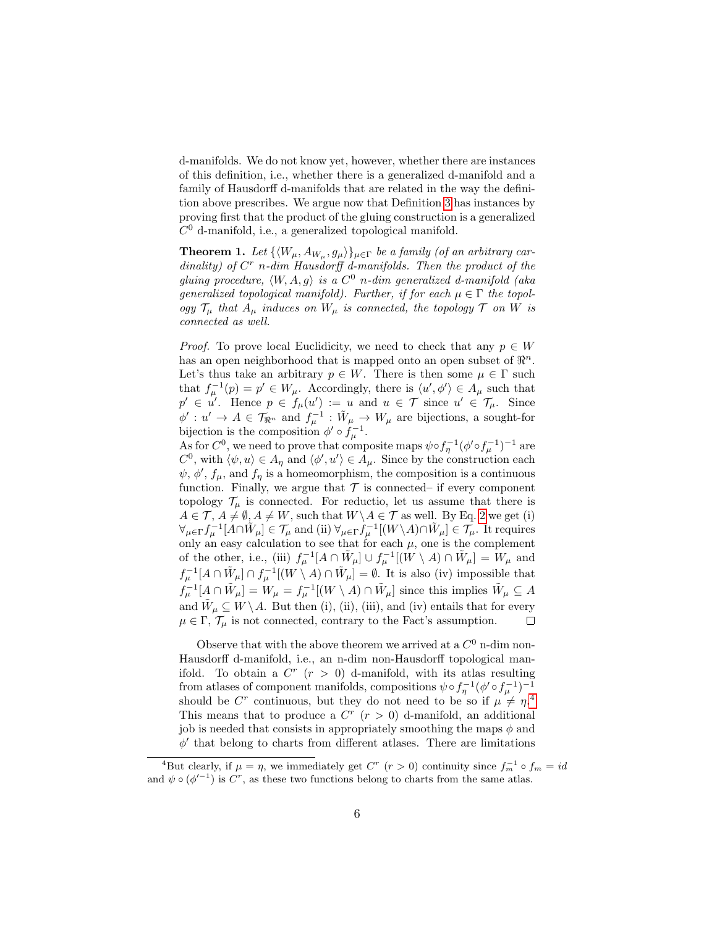d-manifolds. We do not know yet, however, whether there are instances of this definition, i.e., whether there is a generalized d-manifold and a family of Hausdorff d-manifolds that are related in the way the definition above prescribes. We argue now that Definition [3](#page-3-0) has instances by proving first that the product of the gluing construction is a generalized  $C<sup>0</sup>$  d-manifold, i.e., a generalized topological manifold.

**Theorem 1.** Let  $\{ \langle W_{\mu}, A_{W_{\mu}}, g_{\mu} \rangle \}_{\mu \in \Gamma}$  be a family (of an arbitrary cardinality) of  $C<sup>r</sup>$  n-dim Hausdorff d-manifolds. Then the product of the gluing procedure,  $\langle W, A, g \rangle$  is a  $C^0$  n-dim generalized d-manifold (aka generalized topological manifold). Further, if for each  $\mu \in \Gamma$  the topology  $\mathcal{T}_{\mu}$  that  $A_{\mu}$  induces on  $W_{\mu}$  is connected, the topology  $\mathcal{T}$  on  $W$  is connected as well.

*Proof.* To prove local Euclidicity, we need to check that any  $p \in W$ has an open neighborhood that is mapped onto an open subset of  $\mathbb{R}^n$ . Let's thus take an arbitrary  $p \in W$ . There is then some  $\mu \in \Gamma$  such that  $f_{\mu}^{-1}(p) = p' \in W_{\mu}$ . Accordingly, there is  $\langle u', \phi' \rangle \in A_{\mu}$  such that  $p' \in u'$ . Hence  $p \in f_{\mu}(u') := u$  and  $u \in \mathcal{T}$  since  $u' \in \mathcal{T}_{\mu}$ . Since  $\phi': u' \to A \in \mathcal{T}_{\Re^n}$  and  $f_\mu^{-1} : \tilde{W}_\mu \to W_\mu$  are bijections, a sought-for bijection is the composition  $\phi' \circ f_{\mu}^{-1}$ .

As for  $C^0$ , we need to prove that composite maps  $\psi \circ f_{\eta}^{-1} (\phi' \circ f_{\mu}^{-1})^{-1}$  are  $C^0$ , with  $\langle \psi, u \rangle \in A_\eta$  and  $\langle \phi', u' \rangle \in A_\mu$ . Since by the construction each  $\psi, \phi', f_{\mu}$ , and  $f_{\eta}$  is a homeomorphism, the composition is a continuous function. Finally, we argue that  $\mathcal T$  is connected– if every component topology  $\mathcal{T}_{\mu}$  is connected. For reductio, let us assume that there is  $A \in \mathcal{T}, A \neq \emptyset, A \neq W$ , such that  $W \setminus A \in \mathcal{T}$  as well. By Eq. [2](#page-4-1) we get (i)  $\forall_{\mu \in \Gamma} f_{\mu}^{-1}[A \cap \tilde{W}_{\mu}] \in \mathcal{T}_{\mu}$  and (ii)  $\forall_{\mu \in \Gamma} f_{\mu}^{-1}[(W \setminus A) \cap \tilde{W}_{\mu}] \in \mathcal{T}_{\mu}$ . It requires only an easy calculation to see that for each  $\mu$ , one is the complement of the other, i.e., (iii)  $f_{\mu}^{-1}[A \cap \tilde{W}_{\mu}] \cup f_{\mu}^{-1}[(W \setminus A) \cap \tilde{W}_{\mu}] = W_{\mu}$  and  $f_{\mu}^{-1}[A \cap \tilde{W}_{\mu}] \cap f_{\mu}^{-1}[(W \setminus A) \cap \tilde{W}_{\mu}] = \emptyset$ . It is also (iv) impossible that  $f_{\mu}^{-1}[A \cap \tilde{W}_{\mu}] = W_{\mu} = f_{\mu}^{-1}[(W \setminus A) \cap \tilde{W}_{\mu}]$  since this implies  $\tilde{W}_{\mu} \subseteq A$ and  $\tilde{W}_\mu \subseteq W \setminus A$ . But then (i), (ii), (iii), and (iv) entails that for every  $\mu \in \Gamma$ ,  $\mathcal{T}_{\mu}$  is not connected, contrary to the Fact's assumption.

Observe that with the above theorem we arrived at a  $C^0$  n-dim non-Hausdorff d-manifold, i.e., an n-dim non-Hausdorff topological manifold. To obtain a  $C^r$   $(r > 0)$  d-manifold, with its atlas resulting from atlases of component manifolds, compositions  $\psi \circ f_{\eta}^{-1} (\phi' \circ f_{\mu}^{-1})^{-1}$ should be C<sup>r</sup> continuous, but they do not need to be so if  $\mu \neq \eta$ <sup>[4](#page-5-0)</sup> This means that to produce a  $C<sup>r</sup>$   $(r > 0)$  d-manifold, an additional job is needed that consists in appropriately smoothing the maps  $\phi$  and  $\phi'$  that belong to charts from different atlases. There are limitations

<span id="page-5-0"></span><sup>&</sup>lt;sup>4</sup>But clearly, if  $\mu = \eta$ , we immediately get  $C^r$   $(r > 0)$  continuity since  $f_m^{-1} \circ f_m = id$ and  $\psi \circ (\phi'^{-1})$  is  $C^r$ , as these two functions belong to charts from the same atlas.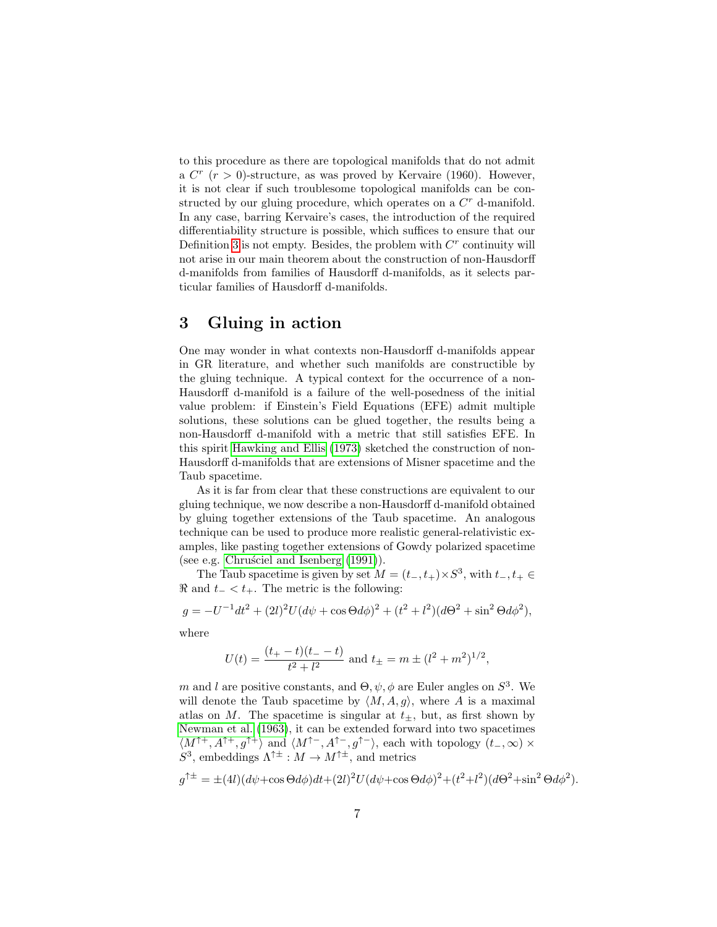to this procedure as there are topological manifolds that do not admit a  $C<sup>r</sup>$  ( $r > 0$ )-structure, as was proved by Kervaire (1960). However, it is not clear if such troublesome topological manifolds can be constructed by our gluing procedure, which operates on a  $C<sup>r</sup>$  d-manifold. In any case, barring Kervaire's cases, the introduction of the required differentiability structure is possible, which suffices to ensure that our Definition [3](#page-3-0) is not empty. Besides, the problem with  $C<sup>r</sup>$  continuity will not arise in our main theorem about the construction of non-Hausdorff d-manifolds from families of Hausdorff d-manifolds, as it selects particular families of Hausdorff d-manifolds.

#### <span id="page-6-0"></span>3 Gluing in action

One may wonder in what contexts non-Hausdorff d-manifolds appear in GR literature, and whether such manifolds are constructible by the gluing technique. A typical context for the occurrence of a non-Hausdorff d-manifold is a failure of the well-posedness of the initial value problem: if Einstein's Field Equations (EFE) admit multiple solutions, these solutions can be glued together, the results being a non-Hausdorff d-manifold with a metric that still satisfies EFE. In this spirit [Hawking and Ellis \(1973\)](#page-19-3) sketched the construction of non-Hausdorff d-manifolds that are extensions of Misner spacetime and the Taub spacetime.

As it is far from clear that these constructions are equivalent to our gluing technique, we now describe a non-Hausdorff d-manifold obtained by gluing together extensions of the Taub spacetime. An analogous technique can be used to produce more realistic general-relativistic examples, like pasting together extensions of Gowdy polarized spacetime (see e.g. Chrusciel and Isenberg  $(1991)$ ).

The Taub spacetime is given by set  $M = (t_-, t_+) \times S^3$ , with  $t_-, t_+ \in$  $\Re$  and  $t_$  <  $t_+$ . The metric is the following:

$$
g = -U^{-1}dt^{2} + (2l)^{2}U(d\psi + \cos \Theta d\phi)^{2} + (t^{2} + l^{2})(d\Theta^{2} + \sin^{2} \Theta d\phi^{2}),
$$

where

$$
U(t) = \frac{(t_{+} - t)(t_{-} - t)}{t^{2} + l^{2}} \text{ and } t_{\pm} = m \pm (l^{2} + m^{2})^{1/2},
$$

m and l are positive constants, and  $\Theta, \psi, \phi$  are Euler angles on  $S^3$ . We will denote the Taub spacetime by  $\langle M, A, g \rangle$ , where A is a maximal atlas on M. The spacetime is singular at  $t_{\pm}$ , but, as first shown by [Newman et al. \(1963\)](#page-19-4), it can be extended forward into two spacetimes  $\langle M^{\uparrow +}, A^{\uparrow +}, g^{\uparrow +} \rangle$  and  $\langle M^{\uparrow -}, A^{\uparrow -}, g^{\uparrow -} \rangle$ , each with topology  $(t_-, \infty) \times$  $S^3$ , embeddings  $\Lambda^{\uparrow \pm} : M \to M^{\uparrow \pm}$ , and metrics

$$
g^{\uparrow \pm} = \pm (4l)(d\psi + \cos \Theta d\phi)dt + (2l)^2 U(d\psi + \cos \Theta d\phi)^2 + (t^2 + l^2)(d\Theta^2 + \sin^2 \Theta d\phi^2).
$$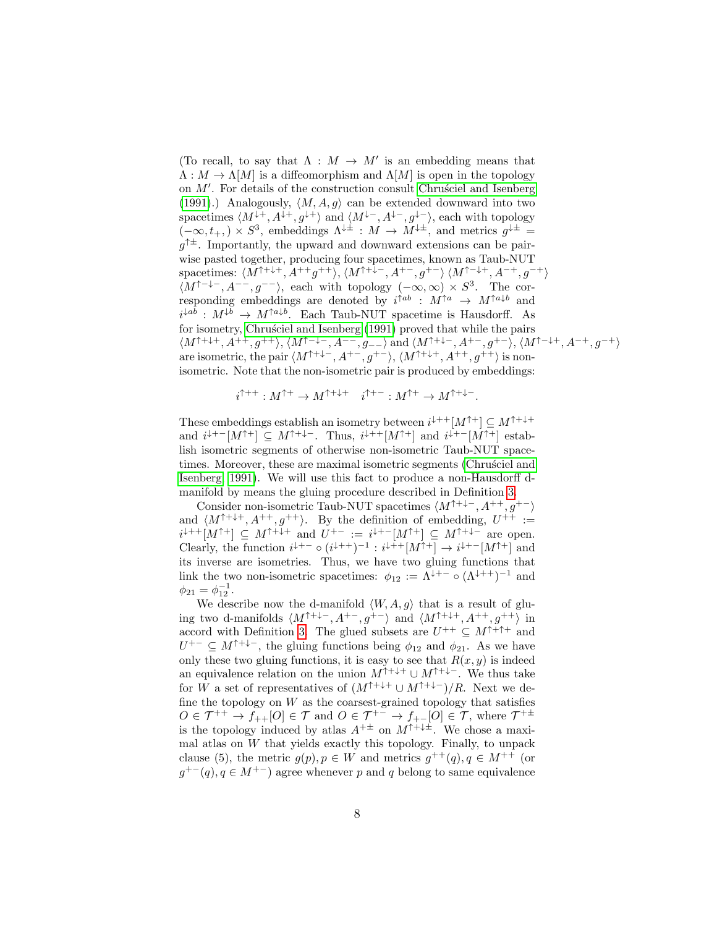(To recall, to say that  $\Lambda : M \to M'$  is an embedding means that  $\Lambda: M \to \Lambda[M]$  is a diffeomorphism and  $\Lambda[M]$  is open in the topology on  $M'$ . For details of the construction consult Chrusciel and Isenberg [\(1991\)](#page-18-1).) Analogously,  $\langle M, A, g \rangle$  can be extended downward into two spacetimes  $\langle M^{\downarrow+}, A^{\downarrow+}, g^{\downarrow+}\rangle$  and  $\langle M^{\downarrow-}, A^{\downarrow-}, g^{\downarrow-}\rangle$ , each with topology  $(-\infty, t_+) \times S^3$ , embeddings  $\Lambda^{\downarrow \pm} : M \to M^{\downarrow \pm}$ , and metrics  $g^{\downarrow \pm} =$  $g^{\uparrow \pm}$ . Importantly, the upward and downward extensions can be pairwise pasted together, producing four spacetimes, known as Taub-NUT spacetimes:  $\langle M^{\uparrow+\downarrow+}, A^{++}g^{++} \rangle$ ,  $\langle M^{\uparrow+\downarrow-}, A^{+-}, g^{+-} \rangle$   $\langle M^{\uparrow-\downarrow+}, A^{-+}, g^{-+} \rangle$  $\langle M^{\uparrow-\downarrow-}, A^{--}, g^{--} \rangle$ , each with topology  $(-\infty, \infty) \times S^3$ . The corresponding embeddings are denoted by  $i^{\uparrow ab}$  :  $M^{\uparrow a} \rightarrow M^{\uparrow a \downarrow b}$  and  $i^{\downarrow ab}: M^{\downarrow b} \to M^{\uparrow a \downarrow b}$ . Each Taub-NUT spacetime is Hausdorff. As for isometry, Chrusciel and Isenberg (1991) proved that while the pairs  $\langle M^{\uparrow+\downarrow+}, A^{++}, g^{++} \rangle, \langle M^{\uparrow-\downarrow-}, A^{--}, g_{--} \rangle$  and  $\langle M^{\uparrow+\downarrow-}, A^{+-}, g^{+-} \rangle, \langle M^{\uparrow-\downarrow+}, A^{-+}, g^{-+} \rangle$ are isometric, the pair  $\langle M^{\uparrow+\downarrow-}, A^{+-}, g^{+-}\rangle$ ,  $\langle M^{\uparrow+\downarrow+}, A^{++}, g^{++}\rangle$  is nonisometric. Note that the non-isometric pair is produced by embeddings:

$$
i^{\uparrow++}:M^{\uparrow+}\to M^{\uparrow+\downarrow+} \quad i^{\uparrow+-}:M^{\uparrow+}\to M^{\uparrow+\downarrow-}.
$$

These embeddings establish an isometry between  $i^{+++}[M^{\uparrow+}] \subseteq M^{\uparrow+++}$ and  $i^{\downarrow + -}[M^{\uparrow +}] \subseteq M^{\uparrow + \downarrow -}$ . Thus,  $i^{\downarrow + +}[M^{\uparrow +}]$  and  $i^{\downarrow + -}[M^{\uparrow +}]$  establish isometric segments of otherwise non-isometric Taub-NUT spacetimes. Moreover, these are maximal isometric segments (Chrusciel and [Isenberg, 1991\)](#page-18-1). We will use this fact to produce a non-Hausdorff dmanifold by means the gluing procedure described in Definition [3.](#page-3-0)

Consider non-isometric Taub-NUT spacetimes  $\langle M^{\uparrow+\downarrow-}, A^{++}, g^{+-}\rangle$ and  $\langle M^{\uparrow+\downarrow+}, A^{++}, g^{++}\rangle$ . By the definition of embedding,  $U^{++} :=$  $i^{\downarrow ++}[M^{\uparrow +}] \subseteq M^{\uparrow +\downarrow +}$  and  $U^{+-} := i^{\downarrow +-}[M^{\uparrow +}] \subseteq M^{\uparrow +\downarrow -}$  are open. Clearly, the function  $i^{++-} \circ (i^{+++})^{-1} : i^{+++}[M^{\uparrow+}] \to i^{++-}[M^{\uparrow+}]$  and its inverse are isometries. Thus, we have two gluing functions that link the two non-isometric spacetimes:  $\phi_{12} := \Lambda^{++-} \circ (\Lambda^{+++})^{-1}$  and  $\phi_{21} = \phi_{12}^{-1}.$ 

We describe now the d-manifold  $\langle W, A, g \rangle$  that is a result of gluing two d-manifolds  $\langle M^{\uparrow+\downarrow-}, A^{+-}, g^{+-} \rangle$  and  $\langle M^{\uparrow+\downarrow+}, A^{++}, g^{++} \rangle$  in accord with Definition [3.](#page-3-0) The glued subsets are  $U^{++} \subseteq M^{\uparrow + \uparrow +}$  and  $U^{+-} \subseteq M^{\uparrow+\downarrow-}$ , the gluing functions being  $\phi_{12}$  and  $\phi_{21}$ . As we have only these two gluing functions, it is easy to see that  $R(x, y)$  is indeed an equivalence relation on the union  $M^{\uparrow + \downarrow +} \cup M^{\uparrow + \downarrow -}$ . We thus take for W a set of representatives of  $(M^{\uparrow + \downarrow +} \cup M^{\uparrow + \downarrow -})/R$ . Next we define the topology on  $W$  as the coarsest-grained topology that satisfies  $O \in \mathcal{T}^{++} \to f_{++}[O] \in \mathcal{T}$  and  $O \in \mathcal{T}^{+-} \to f_{+-}[O] \in \mathcal{T}$ , where  $\mathcal{T}^{+\pm}$ is the topology induced by atlas  $A^{+\pm}$  on  $M^{\uparrow + \downarrow \pm}$ . We chose a maximal atlas on  $W$  that yields exactly this topology. Finally, to unpack clause (5), the metric  $g(p), p \in W$  and metrics  $g^{++}(q), q \in M^{++}$  (or  $g^{+-}(q), q \in M^{+-}$  agree whenever p and q belong to same equivalence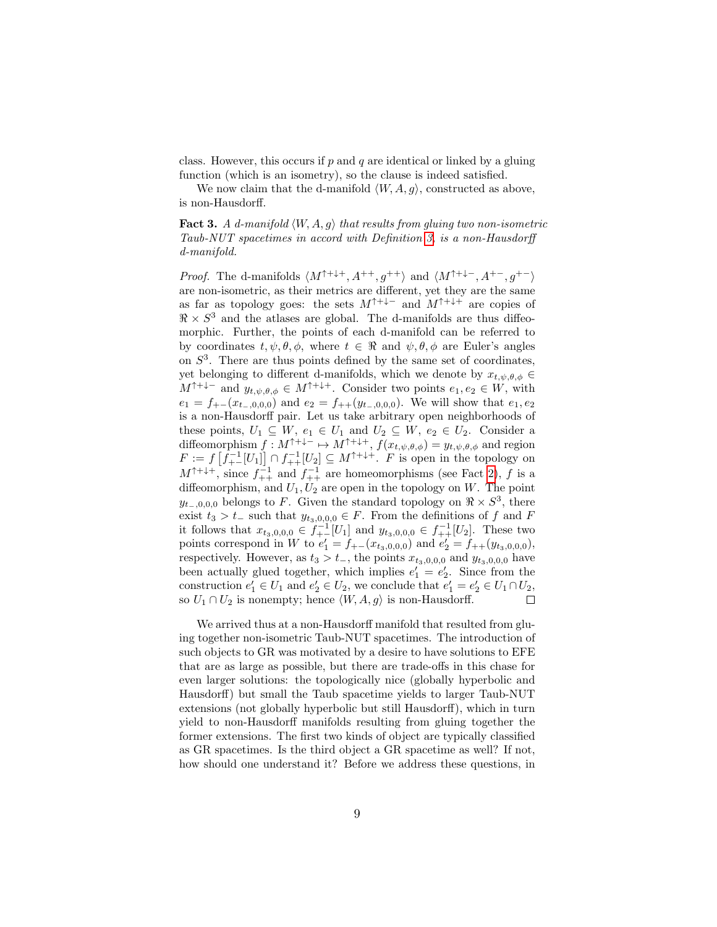class. However, this occurs if  $p$  and  $q$  are identical or linked by a gluing function (which is an isometry), so the clause is indeed satisfied.

We now claim that the d-manifold  $\langle W, A, g \rangle$ , constructed as above, is non-Hausdorff.

**Fact 3.** A d-manifold  $\langle W, A, g \rangle$  that results from gluing two non-isometric Taub-NUT spacetimes in accord with Definition [3,](#page-3-0) is a non-Hausdorff d-manifold.

*Proof.* The d-manifolds  $\langle M^{\uparrow+\downarrow+}, A^{++}, g^{++}\rangle$  and  $\langle M^{\uparrow+\downarrow-}, A^{+-}, g^{+-}\rangle$ are non-isometric, as their metrics are different, yet they are the same as far as topology goes: the sets  $M^{\uparrow + \downarrow -}$  and  $M^{\uparrow + \downarrow +}$  are copies of  $\Re \times S^3$  and the atlases are global. The d-manifolds are thus diffeomorphic. Further, the points of each d-manifold can be referred to by coordinates  $t, \psi, \theta, \phi$ , where  $t \in \Re$  and  $\psi, \theta, \phi$  are Euler's angles on  $S<sup>3</sup>$ . There are thus points defined by the same set of coordinates, yet belonging to different d-manifolds, which we denote by  $x_{t,\psi,\theta,\phi} \in$  $M^{\uparrow+\downarrow-}$  and  $y_{t,\psi,\theta,\phi} \in M^{\uparrow+\downarrow+}$ . Consider two points  $e_1, e_2 \in W$ , with  $e_1 = f_{+-}(x_{t_-,0,0,0})$  and  $e_2 = f_{++}(y_{t_-,0,0,0})$ . We will show that  $e_1, e_2$ is a non-Hausdorff pair. Let us take arbitrary open neighborhoods of these points,  $U_1 \subseteq W$ ,  $e_1 \in U_1$  and  $U_2 \subseteq W$ ,  $e_2 \in U_2$ . Consider a diffeomorphism  $f: M^{\uparrow + \downarrow -} \mapsto M^{\uparrow + \downarrow +}, f(x_{t, \psi, \theta, \phi}) = y_{t, \psi, \theta, \phi}$  and region  $F := f\left[f_{+-}^{-1}[U_1]\right] \cap f_{++}^{-1}[U_2] \subseteq M^{\uparrow + \downarrow +}$ . F is open in the topology on  $M^{\uparrow + \downarrow +}$ , since  $f_{++}^{-1}$  and  $f_{++}^{-1}$  are homeomorphisms (see Fact [2\)](#page-4-2), f is a diffeomorphism, and  $U_1, U_2$  are open in the topology on W. The point  $y_{t_-,0,0,0}$  belongs to F. Given the standard topology on  $\Re \times S^3$ , there exist  $t_3 > t_-\text{ such that } y_{t_3,0,0,0} \in F.$  From the definitions of f and F it follows that  $x_{t_3,0,0,0} \in f_{+-}^{-1}[U_1]$  and  $y_{t_3,0,0,0} \in f_{++}^{-1}[U_2]$ . These two points correspond in W to  $e'_1 = f_{+-}(x_{t_3,0,0,0})$  and  $e'_2 = f_{++}(y_{t_3,0,0,0}),$ respectively. However, as  $t_3 > t_-,$  the points  $x_{t_3,0,0,0}$  and  $y_{t_3,0,0,0}$  have been actually glued together, which implies  $e'_1 = e'_2$ . Since from the construction  $e'_1 \in U_1$  and  $e'_2 \in U_2$ , we conclude that  $e'_1 = e'_2 \in U_1 \cap U_2$ , so  $U_1 \cap U_2$  is nonempty; hence  $\langle W, A, g \rangle$  is non-Hausdorff.  $\Box$ 

We arrived thus at a non-Hausdorff manifold that resulted from gluing together non-isometric Taub-NUT spacetimes. The introduction of such objects to GR was motivated by a desire to have solutions to EFE that are as large as possible, but there are trade-offs in this chase for even larger solutions: the topologically nice (globally hyperbolic and Hausdorff) but small the Taub spacetime yields to larger Taub-NUT extensions (not globally hyperbolic but still Hausdorff), which in turn yield to non-Hausdorff manifolds resulting from gluing together the former extensions. The first two kinds of object are typically classified as GR spacetimes. Is the third object a GR spacetime as well? If not, how should one understand it? Before we address these questions, in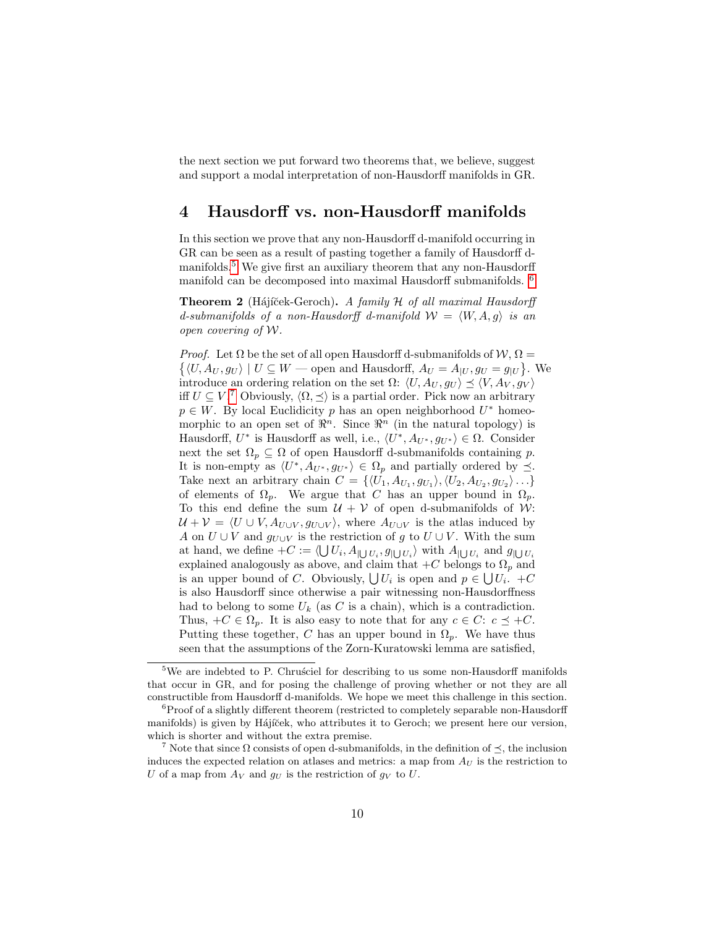the next section we put forward two theorems that, we believe, suggest and support a modal interpretation of non-Hausdorff manifolds in GR.

# <span id="page-9-0"></span>4 Hausdorff vs. non-Hausdorff manifolds

In this section we prove that any non-Hausdorff d-manifold occurring in GR can be seen as a result of pasting together a family of Hausdorff d-manifolds.<sup>[5](#page-9-1)</sup> We give first an auxiliary theorem that any non-Hausdorff manifold can be decomposed into maximal Hausdorff submanifolds. [6](#page-9-2)

<span id="page-9-4"></span>**Theorem 2** (Hájíček-Geroch). A family  $H$  of all maximal Hausdorff d-submanifolds of a non-Hausdorff d-manifold  $W = \langle W, A, g \rangle$  is an open covering of W.

*Proof.* Let  $\Omega$  be the set of all open Hausdorff d-submanifolds of  $W, \Omega =$  $\{ \langle U, A_U, g_U \rangle \mid U \subseteq W$  — open and Hausdorff,  $A_U = A_{|U}, g_U = g_{|U} \}$ . We introduce an ordering relation on the set  $\Omega: \langle U, A_U, g_U \rangle \preceq \langle V, A_V, g_V \rangle$ iff  $U \subseteq V$ .<sup>[7](#page-9-3)</sup> Obviously,  $\langle \Omega, \preceq \rangle$  is a partial order. Pick now an arbitrary  $p \in W$ . By local Euclidicity p has an open neighborhood  $U^*$  homeomorphic to an open set of  $\mathbb{R}^n$ . Since  $\mathbb{R}^n$  (in the natural topology) is Hausdorff,  $U^*$  is Hausdorff as well, i.e.,  $\langle U^*, A_{U^*}, g_{U^*} \rangle \in \Omega$ . Consider next the set  $\Omega_p \subseteq \Omega$  of open Hausdorff d-submanifolds containing p. It is non-empty as  $\langle U^*, A_{U^*}, g_{U^*} \rangle \in \Omega_p$  and partially ordered by  $\preceq$ . Take next an arbitrary chain  $C = \{ \langle U_1, A_{U_1}, g_{U_1} \rangle, \langle U_2, A_{U_2}, g_{U_2} \rangle \dots \}$ of elements of  $\Omega_p$ . We argue that C has an upper bound in  $\Omega_p$ . To this end define the sum  $\mathcal{U} + \mathcal{V}$  of open d-submanifolds of W:  $U + V = \langle U \cup V, A_{U \cup V}, g_{U \cup V} \rangle$ , where  $A_{U \cup V}$  is the atlas induced by A on  $U \cup V$  and  $g_{U \cup V}$  is the restriction of g to  $U \cup V$ . With the sum at hand, we define  $+C := \langle \bigcup U_i, A_{\vert \bigcup U_i}, g_{\vert \bigcup U_i} \rangle$  with  $A_{\vert \bigcup U_i}$  and  $g_{\vert \bigcup U_i}$ explained analogously as above, and claim that  $+C$  belongs to  $\Omega_p$  and is an upper bound of C. Obviously,  $\bigcup U_i$  is open and  $p \in \bigcup U_i$ . +C is also Hausdorff since otherwise a pair witnessing non-Hausdorffness had to belong to some  $U_k$  (as C is a chain), which is a contradiction. Thus,  $+C \in \Omega_p$ . It is also easy to note that for any  $c \in C: c \preceq +C$ . Putting these together, C has an upper bound in  $\Omega_p$ . We have thus seen that the assumptions of the Zorn-Kuratowski lemma are satisfied,

<span id="page-9-1"></span> $5$ We are indebted to P. Chrusciel for describing to us some non-Hausdorff manifolds that occur in GR, and for posing the challenge of proving whether or not they are all constructible from Hausdorff d-manifolds. We hope we meet this challenge in this section.

<span id="page-9-2"></span> ${}^{6}$ Proof of a slightly different theorem (restricted to completely separable non-Hausdorff manifolds) is given by Hajíček, who attributes it to Geroch; we present here our version, which is shorter and without the extra premise.

<span id="page-9-3"></span><sup>&</sup>lt;sup>7</sup> Note that since  $\Omega$  consists of open d-submanifolds, in the definition of  $\preceq$ , the inclusion induces the expected relation on atlases and metrics: a map from  $A_U$  is the restriction to U of a map from  $A_V$  and  $g_U$  is the restriction of  $g_V$  to U.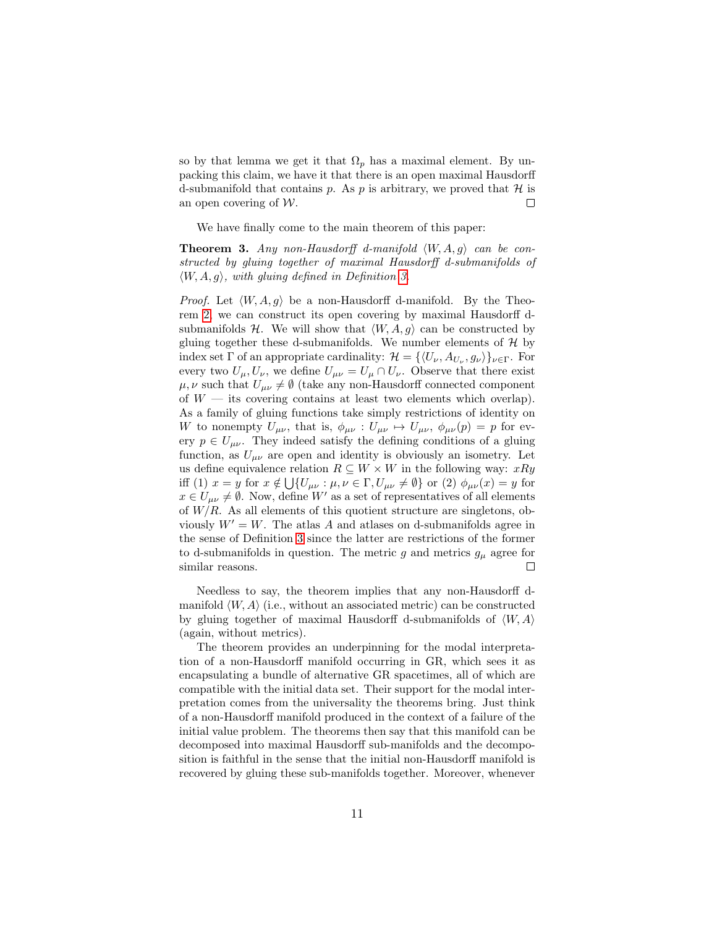so by that lemma we get it that  $\Omega_p$  has a maximal element. By unpacking this claim, we have it that there is an open maximal Hausdorff d-submanifold that contains p. As p is arbitrary, we proved that  $\mathcal H$  is an open covering of  $W$ .  $\Box$ 

We have finally come to the main theorem of this paper:

<span id="page-10-0"></span>**Theorem 3.** Any non-Hausdorff d-manifold  $\langle W, A, q \rangle$  can be constructed by gluing together of maximal Hausdorff d-submanifolds of  $\langle W, A, g \rangle$ , with gluing defined in Definition [3.](#page-3-0)

*Proof.* Let  $\langle W, A, g \rangle$  be a non-Hausdorff d-manifold. By the Theorem [2,](#page-9-4) we can construct its open covering by maximal Hausdorff dsubmanifolds H. We will show that  $\langle W, A, g \rangle$  can be constructed by gluing together these d-submanifolds. We number elements of  $H$  by index set  $\Gamma$  of an appropriate cardinality:  $\mathcal{H} = \{ \langle U_{\nu}, A_{U_{\nu}}, g_{\nu} \rangle \}_{\nu \in \Gamma}$ . For every two  $U_{\mu}, U_{\nu}$ , we define  $U_{\mu\nu} = U_{\mu} \cap U_{\nu}$ . Observe that there exist  $\mu, \nu$  such that  $U_{\mu\nu} \neq \emptyset$  (take any non-Hausdorff connected component of  $W$  — its covering contains at least two elements which overlap). As a family of gluing functions take simply restrictions of identity on W to nonempty  $U_{\mu\nu}$ , that is,  $\phi_{\mu\nu} : U_{\mu\nu} \mapsto U_{\mu\nu}$ ,  $\phi_{\mu\nu}(p) = p$  for every  $p \in U_{\mu\nu}$ . They indeed satisfy the defining conditions of a gluing function, as  $U_{\mu\nu}$  are open and identity is obviously an isometry. Let us define equivalence relation  $R \subseteq W \times W$  in the following way:  $xRy$ iff (1)  $x = y$  for  $x \notin \bigcup \{U_{\mu\nu} : \mu, \nu \in \Gamma, U_{\mu\nu} \neq \emptyset\}$  or (2)  $\phi_{\mu\nu}(x) = y$  for  $x \in U_{\mu\nu} \neq \emptyset$ . Now, define W' as a set of representatives of all elements of  $W/R$ . As all elements of this quotient structure are singletons, obviously  $W' = W$ . The atlas A and atlases on d-submanifolds agree in the sense of Definition [3](#page-3-0) since the latter are restrictions of the former to d-submanifolds in question. The metric g and metrics  $g_{\mu}$  agree for  $\Box$ similar reasons.

Needless to say, the theorem implies that any non-Hausdorff dmanifold  $\langle W, A \rangle$  (i.e., without an associated metric) can be constructed by gluing together of maximal Hausdorff d-submanifolds of  $\langle W, A \rangle$ (again, without metrics).

The theorem provides an underpinning for the modal interpretation of a non-Hausdorff manifold occurring in GR, which sees it as encapsulating a bundle of alternative GR spacetimes, all of which are compatible with the initial data set. Their support for the modal interpretation comes from the universality the theorems bring. Just think of a non-Hausdorff manifold produced in the context of a failure of the initial value problem. The theorems then say that this manifold can be decomposed into maximal Hausdorff sub-manifolds and the decomposition is faithful in the sense that the initial non-Hausdorff manifold is recovered by gluing these sub-manifolds together. Moreover, whenever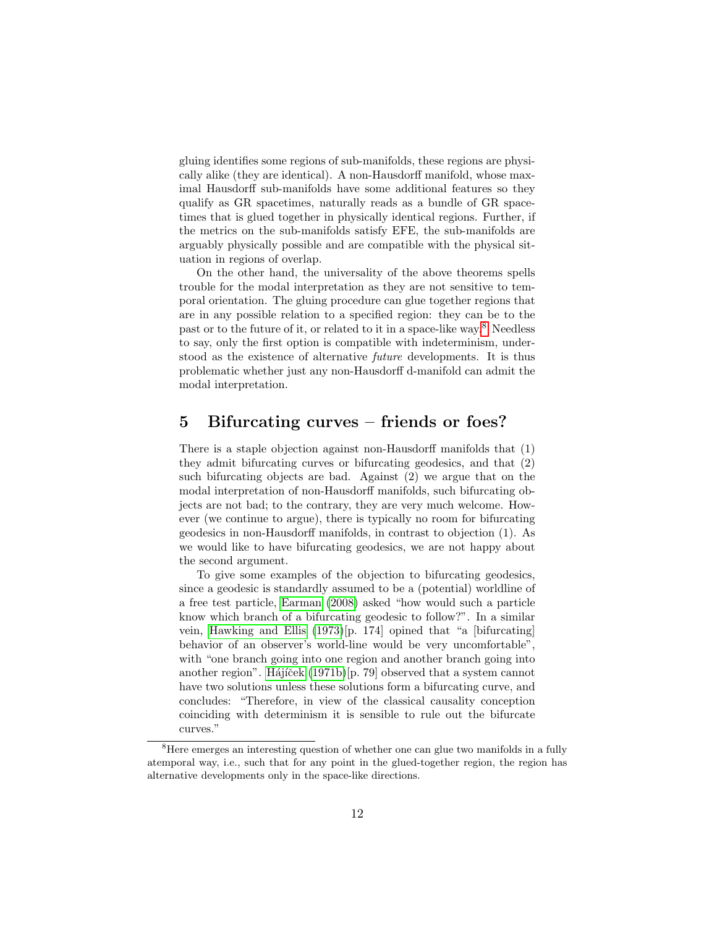gluing identifies some regions of sub-manifolds, these regions are physically alike (they are identical). A non-Hausdorff manifold, whose maximal Hausdorff sub-manifolds have some additional features so they qualify as GR spacetimes, naturally reads as a bundle of GR spacetimes that is glued together in physically identical regions. Further, if the metrics on the sub-manifolds satisfy EFE, the sub-manifolds are arguably physically possible and are compatible with the physical situation in regions of overlap.

On the other hand, the universality of the above theorems spells trouble for the modal interpretation as they are not sensitive to temporal orientation. The gluing procedure can glue together regions that are in any possible relation to a specified region: they can be to the past or to the future of it, or related to it in a space-like way.<sup>[8](#page-11-1)</sup> Needless to say, only the first option is compatible with indeterminism, understood as the existence of alternative future developments. It is thus problematic whether just any non-Hausdorff d-manifold can admit the modal interpretation.

#### <span id="page-11-0"></span>5 Bifurcating curves – friends or foes?

There is a staple objection against non-Hausdorff manifolds that (1) they admit bifurcating curves or bifurcating geodesics, and that (2) such bifurcating objects are bad. Against (2) we argue that on the modal interpretation of non-Hausdorff manifolds, such bifurcating objects are not bad; to the contrary, they are very much welcome. However (we continue to argue), there is typically no room for bifurcating geodesics in non-Hausdorff manifolds, in contrast to objection (1). As we would like to have bifurcating geodesics, we are not happy about the second argument.

To give some examples of the objection to bifurcating geodesics, since a geodesic is standardly assumed to be a (potential) worldline of a free test particle, [Earman \(2008\)](#page-19-2) asked "how would such a particle know which branch of a bifurcating geodesic to follow?". In a similar vein, [Hawking and Ellis \(1973\)](#page-19-3)[p. 174] opined that "a [bifurcating] behavior of an observer's world-line would be very uncomfortable", with "one branch going into one region and another branch going into another region". Hájíček (1971b)[p. 79] observed that a system cannot have two solutions unless these solutions form a bifurcating curve, and concludes: "Therefore, in view of the classical causality conception coinciding with determinism it is sensible to rule out the bifurcate curves."

<span id="page-11-1"></span><sup>&</sup>lt;sup>8</sup>Here emerges an interesting question of whether one can glue two manifolds in a fully atemporal way, i.e., such that for any point in the glued-together region, the region has alternative developments only in the space-like directions.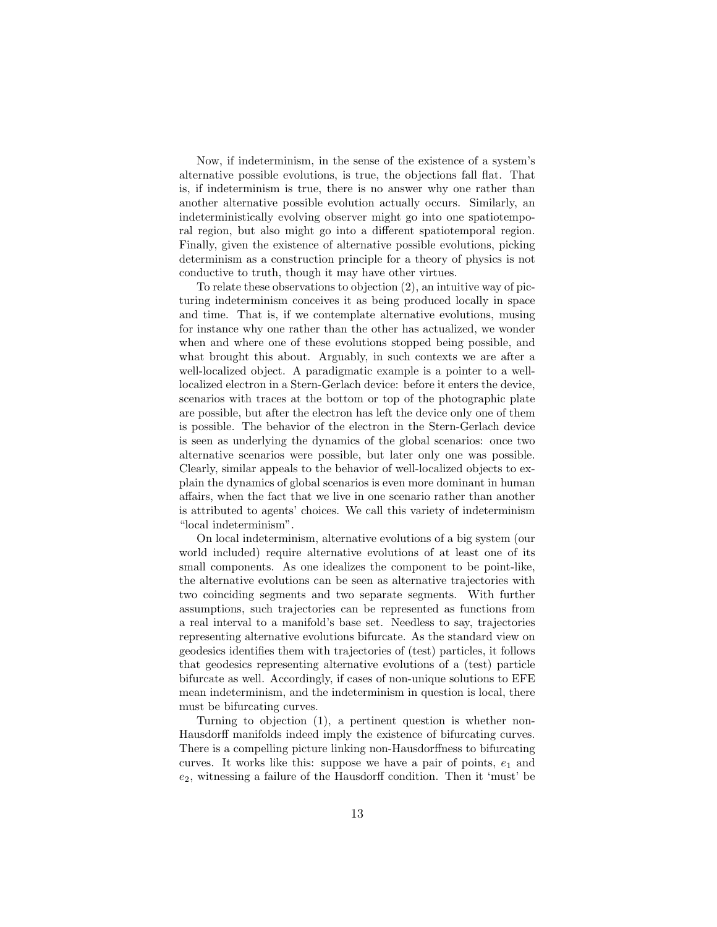Now, if indeterminism, in the sense of the existence of a system's alternative possible evolutions, is true, the objections fall flat. That is, if indeterminism is true, there is no answer why one rather than another alternative possible evolution actually occurs. Similarly, an indeterministically evolving observer might go into one spatiotemporal region, but also might go into a different spatiotemporal region. Finally, given the existence of alternative possible evolutions, picking determinism as a construction principle for a theory of physics is not conductive to truth, though it may have other virtues.

To relate these observations to objection (2), an intuitive way of picturing indeterminism conceives it as being produced locally in space and time. That is, if we contemplate alternative evolutions, musing for instance why one rather than the other has actualized, we wonder when and where one of these evolutions stopped being possible, and what brought this about. Arguably, in such contexts we are after a well-localized object. A paradigmatic example is a pointer to a welllocalized electron in a Stern-Gerlach device: before it enters the device, scenarios with traces at the bottom or top of the photographic plate are possible, but after the electron has left the device only one of them is possible. The behavior of the electron in the Stern-Gerlach device is seen as underlying the dynamics of the global scenarios: once two alternative scenarios were possible, but later only one was possible. Clearly, similar appeals to the behavior of well-localized objects to explain the dynamics of global scenarios is even more dominant in human affairs, when the fact that we live in one scenario rather than another is attributed to agents' choices. We call this variety of indeterminism "local indeterminism".

On local indeterminism, alternative evolutions of a big system (our world included) require alternative evolutions of at least one of its small components. As one idealizes the component to be point-like, the alternative evolutions can be seen as alternative trajectories with two coinciding segments and two separate segments. With further assumptions, such trajectories can be represented as functions from a real interval to a manifold's base set. Needless to say, trajectories representing alternative evolutions bifurcate. As the standard view on geodesics identifies them with trajectories of (test) particles, it follows that geodesics representing alternative evolutions of a (test) particle bifurcate as well. Accordingly, if cases of non-unique solutions to EFE mean indeterminism, and the indeterminism in question is local, there must be bifurcating curves.

Turning to objection (1), a pertinent question is whether non-Hausdorff manifolds indeed imply the existence of bifurcating curves. There is a compelling picture linking non-Hausdorffness to bifurcating curves. It works like this: suppose we have a pair of points,  $e_1$  and  $e_2$ , witnessing a failure of the Hausdorff condition. Then it 'must' be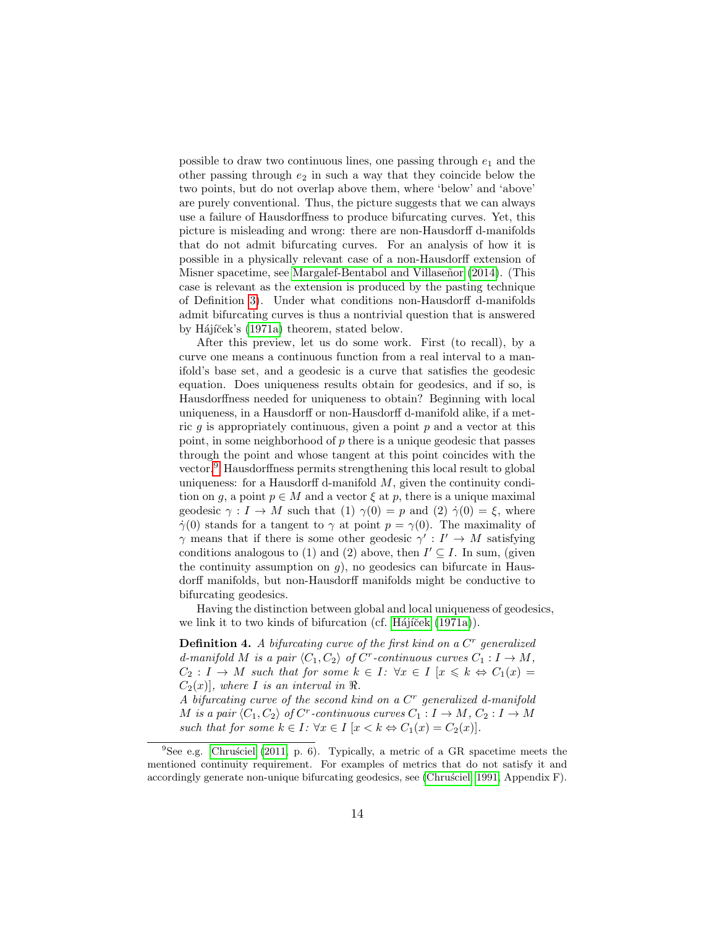possible to draw two continuous lines, one passing through  $e_1$  and the other passing through  $e_2$  in such a way that they coincide below the two points, but do not overlap above them, where 'below' and 'above' are purely conventional. Thus, the picture suggests that we can always use a failure of Hausdorffness to produce bifurcating curves. Yet, this picture is misleading and wrong: there are non-Hausdorff d-manifolds that do not admit bifurcating curves. For an analysis of how it is possible in a physically relevant case of a non-Hausdorff extension of Misner spacetime, see Margalef-Bentabol and Villaseñor (2014). (This case is relevant as the extension is produced by the pasting technique of Definition [3\)](#page-3-0). Under what conditions non-Hausdorff d-manifolds admit bifurcating curves is thus a nontrivial question that is answered by Hájíček's [\(1971a\)](#page-19-7) theorem, stated below.

After this preview, let us do some work. First (to recall), by a curve one means a continuous function from a real interval to a manifold's base set, and a geodesic is a curve that satisfies the geodesic equation. Does uniqueness results obtain for geodesics, and if so, is Hausdorffness needed for uniqueness to obtain? Beginning with local uniqueness, in a Hausdorff or non-Hausdorff d-manifold alike, if a metric  $g$  is appropriately continuous, given a point  $p$  and a vector at this point, in some neighborhood of  $p$  there is a unique geodesic that passes through the point and whose tangent at this point coincides with the vector.[9](#page-13-0) Hausdorffness permits strengthening this local result to global uniqueness: for a Hausdorff d-manifold  $M$ , given the continuity condition on q, a point  $p \in M$  and a vector  $\xi$  at p, there is a unique maximal geodesic  $\gamma : I \to M$  such that  $(1) \gamma(0) = p$  and  $(2) \dot{\gamma}(0) = \xi$ , where  $\dot{\gamma}(0)$  stands for a tangent to  $\gamma$  at point  $p = \gamma(0)$ . The maximality of  $\gamma$  means that if there is some other geodesic  $\gamma': I' \to M$  satisfying conditions analogous to (1) and (2) above, then  $I' \subseteq I$ . In sum, (given the continuity assumption on  $g$ ), no geodesics can bifurcate in Hausdorff manifolds, but non-Hausdorff manifolds might be conductive to bifurcating geodesics.

Having the distinction between global and local uniqueness of geodesics, we link it to two kinds of bifurcation (cf. Hájíček  $(1971a)$ ).

**Definition 4.** A bifurcating curve of the first kind on a  $C<sup>r</sup>$  generalized d-manifold M is a pair  $\langle C_1, C_2 \rangle$  of C<sup>r</sup>-continuous curves  $C_1 : I \to M$ ,  $C_2: I \to M$  such that for some  $k \in I: \forall x \in I \mid x \leq k \Leftrightarrow C_1(x) =$  $C_2(x)$ , where I is an interval in  $\Re$ .

A bifurcating curve of the second kind on a  $C<sup>r</sup>$  generalized d-manifold M is a pair  $\langle C_1, C_2 \rangle$  of C<sup>r</sup>-continuous curves  $C_1 : I \to M$ ,  $C_2 : I \to M$ such that for some  $k \in I$ :  $\forall x \in I$   $[x < k \Leftrightarrow C_1(x) = C_2(x)]$ .

<span id="page-13-0"></span><sup>&</sup>lt;sup>9</sup>See e.g. Chrusciel [\(2011,](#page-18-2) p. 6). Typically, a metric of a GR spacetime meets the mentioned continuity requirement. For examples of metrics that do not satisfy it and accordingly generate non-unique bifurcating geodesics, see (Chrusciel, 1991, Appendix F).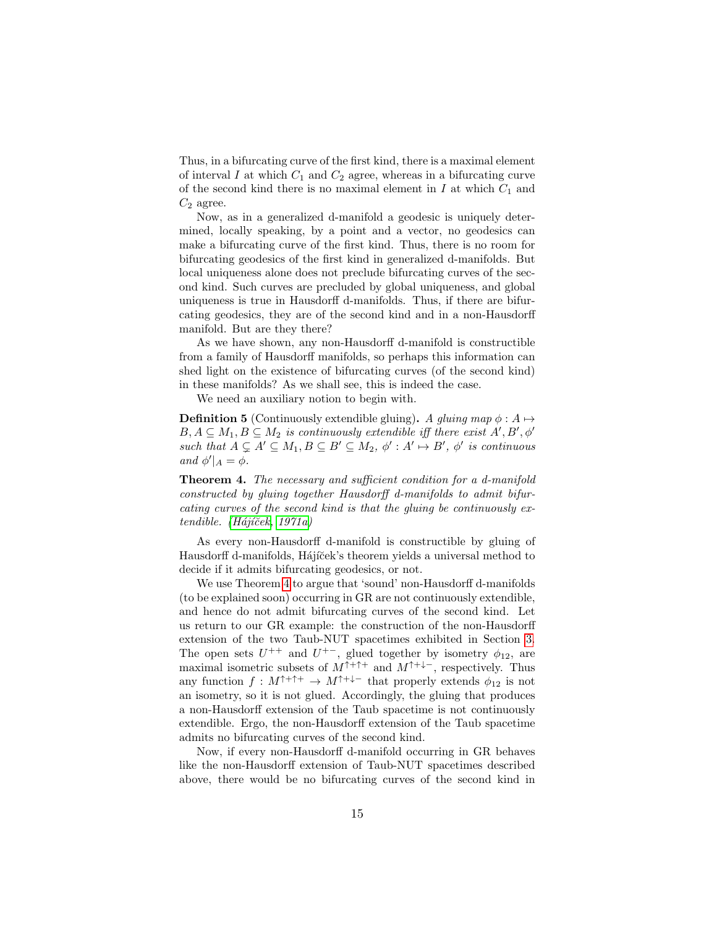Thus, in a bifurcating curve of the first kind, there is a maximal element of interval I at which  $C_1$  and  $C_2$  agree, whereas in a bifurcating curve of the second kind there is no maximal element in  $I$  at which  $C_1$  and  $C_2$  agree.

Now, as in a generalized d-manifold a geodesic is uniquely determined, locally speaking, by a point and a vector, no geodesics can make a bifurcating curve of the first kind. Thus, there is no room for bifurcating geodesics of the first kind in generalized d-manifolds. But local uniqueness alone does not preclude bifurcating curves of the second kind. Such curves are precluded by global uniqueness, and global uniqueness is true in Hausdorff d-manifolds. Thus, if there are bifurcating geodesics, they are of the second kind and in a non-Hausdorff manifold. But are they there?

As we have shown, any non-Hausdorff d-manifold is constructible from a family of Hausdorff manifolds, so perhaps this information can shed light on the existence of bifurcating curves (of the second kind) in these manifolds? As we shall see, this is indeed the case.

We need an auxiliary notion to begin with.

**Definition 5** (Continuously extendible gluing). A gluing map  $\phi : A \mapsto$  $B, A \subseteq M_1, B \subseteq M_2$  is continuously extendible iff there exist  $A', B', \phi'$ such that  $A \subsetneq A' \subseteq M_1, B \subseteq B' \subseteq M_2, \phi' : A' \mapsto B', \phi'$  is continuous and  $\phi'|_A = \phi$ .

<span id="page-14-0"></span>Theorem 4. The necessary and sufficient condition for a d-manifold constructed by gluing together Hausdorff d-manifolds to admit bifurcating curves of the second kind is that the gluing be continuously ex $tendible.$  (Hájíček, 1971a)

As every non-Hausdorff d-manifold is constructible by gluing of Hausdorff d-manifolds, Hájíček's theorem yields a universal method to decide if it admits bifurcating geodesics, or not.

We use Theorem [4](#page-14-0) to argue that 'sound' non-Hausdorff d-manifolds (to be explained soon) occurring in GR are not continuously extendible, and hence do not admit bifurcating curves of the second kind. Let us return to our GR example: the construction of the non-Hausdorff extension of the two Taub-NUT spacetimes exhibited in Section [3.](#page-6-0) The open sets  $U^{++}$  and  $U^{+-}$ , glued together by isometry  $\phi_{12}$ , are maximal isometric subsets of  $M^{\uparrow + \uparrow +}$  and  $M^{\uparrow + \downarrow -}$ , respectively. Thus any function  $f : M^{\uparrow + \uparrow +} \to M^{\uparrow + \downarrow -}$  that properly extends  $\phi_{12}$  is not an isometry, so it is not glued. Accordingly, the gluing that produces a non-Hausdorff extension of the Taub spacetime is not continuously extendible. Ergo, the non-Hausdorff extension of the Taub spacetime admits no bifurcating curves of the second kind.

Now, if every non-Hausdorff d-manifold occurring in GR behaves like the non-Hausdorff extension of Taub-NUT spacetimes described above, there would be no bifurcating curves of the second kind in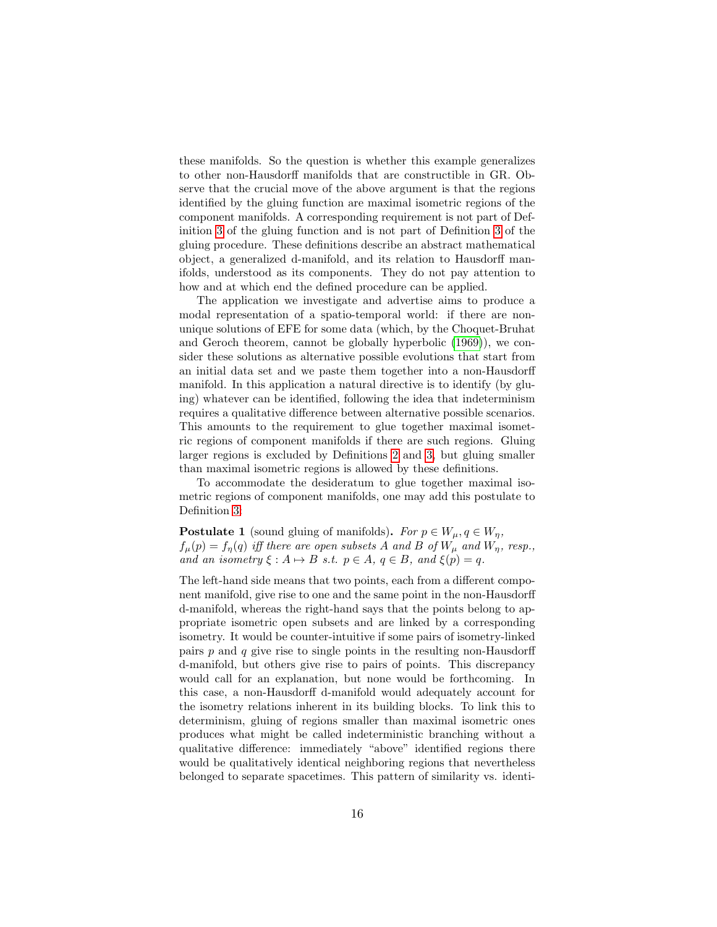these manifolds. So the question is whether this example generalizes to other non-Hausdorff manifolds that are constructible in GR. Observe that the crucial move of the above argument is that the regions identified by the gluing function are maximal isometric regions of the component manifolds. A corresponding requirement is not part of Definition [3](#page-3-0) of the gluing function and is not part of Definition [3](#page-3-0) of the gluing procedure. These definitions describe an abstract mathematical object, a generalized d-manifold, and its relation to Hausdorff manifolds, understood as its components. They do not pay attention to how and at which end the defined procedure can be applied.

The application we investigate and advertise aims to produce a modal representation of a spatio-temporal world: if there are nonunique solutions of EFE for some data (which, by the Choquet-Bruhat and Geroch theorem, cannot be globally hyperbolic [\(1969\)](#page-18-4)), we consider these solutions as alternative possible evolutions that start from an initial data set and we paste them together into a non-Hausdorff manifold. In this application a natural directive is to identify (by gluing) whatever can be identified, following the idea that indeterminism requires a qualitative difference between alternative possible scenarios. This amounts to the requirement to glue together maximal isometric regions of component manifolds if there are such regions. Gluing larger regions is excluded by Definitions [2](#page-2-2) and [3,](#page-3-0) but gluing smaller than maximal isometric regions is allowed by these definitions.

To accommodate the desideratum to glue together maximal isometric regions of component manifolds, one may add this postulate to Definition [3:](#page-3-0)

<span id="page-15-0"></span>**Postulate 1** (sound gluing of manifolds). For  $p \in W_\mu$ ,  $q \in W_\eta$ ,  $f_{\mu}(p) = f_{\eta}(q)$  iff there are open subsets A and B of  $W_{\mu}$  and  $W_{\eta}$ , resp., and an isometry  $\xi : A \mapsto B$  s.t.  $p \in A$ ,  $q \in B$ , and  $\xi(p) = q$ .

The left-hand side means that two points, each from a different component manifold, give rise to one and the same point in the non-Hausdorff d-manifold, whereas the right-hand says that the points belong to appropriate isometric open subsets and are linked by a corresponding isometry. It would be counter-intuitive if some pairs of isometry-linked pairs  $p$  and  $q$  give rise to single points in the resulting non-Hausdorff d-manifold, but others give rise to pairs of points. This discrepancy would call for an explanation, but none would be forthcoming. In this case, a non-Hausdorff d-manifold would adequately account for the isometry relations inherent in its building blocks. To link this to determinism, gluing of regions smaller than maximal isometric ones produces what might be called indeterministic branching without a qualitative difference: immediately "above" identified regions there would be qualitatively identical neighboring regions that nevertheless belonged to separate spacetimes. This pattern of similarity vs. identi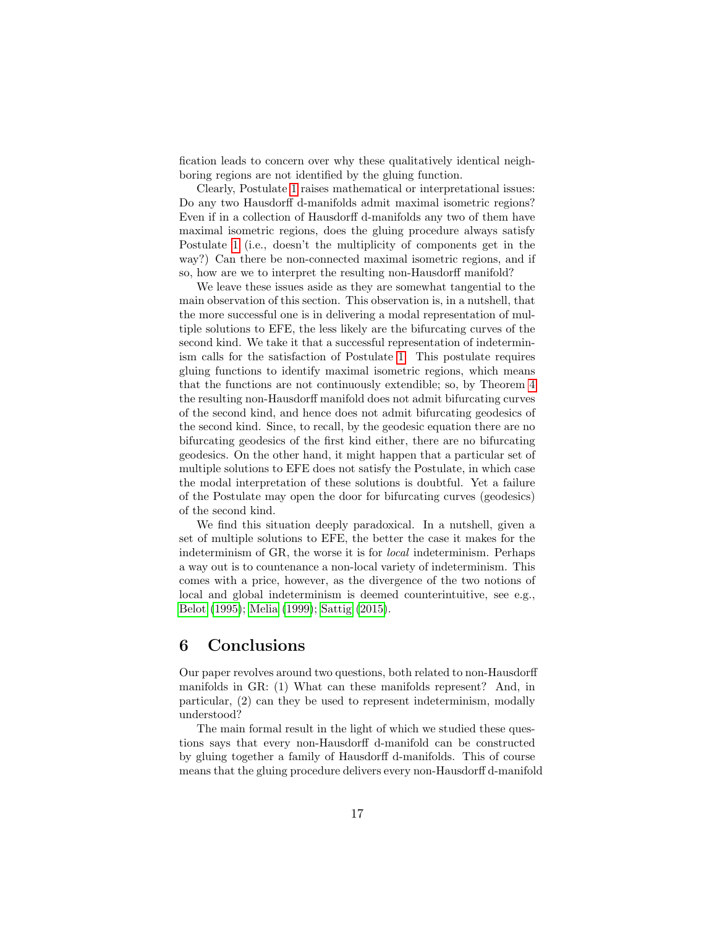fication leads to concern over why these qualitatively identical neighboring regions are not identified by the gluing function.

Clearly, Postulate [1](#page-15-0) raises mathematical or interpretational issues: Do any two Hausdorff d-manifolds admit maximal isometric regions? Even if in a collection of Hausdorff d-manifolds any two of them have maximal isometric regions, does the gluing procedure always satisfy Postulate [1](#page-15-0) (i.e., doesn't the multiplicity of components get in the way?) Can there be non-connected maximal isometric regions, and if so, how are we to interpret the resulting non-Hausdorff manifold?

We leave these issues aside as they are somewhat tangential to the main observation of this section. This observation is, in a nutshell, that the more successful one is in delivering a modal representation of multiple solutions to EFE, the less likely are the bifurcating curves of the second kind. We take it that a successful representation of indeterminism calls for the satisfaction of Postulate [1.](#page-15-0) This postulate requires gluing functions to identify maximal isometric regions, which means that the functions are not continuously extendible; so, by Theorem [4](#page-14-0) the resulting non-Hausdorff manifold does not admit bifurcating curves of the second kind, and hence does not admit bifurcating geodesics of the second kind. Since, to recall, by the geodesic equation there are no bifurcating geodesics of the first kind either, there are no bifurcating geodesics. On the other hand, it might happen that a particular set of multiple solutions to EFE does not satisfy the Postulate, in which case the modal interpretation of these solutions is doubtful. Yet a failure of the Postulate may open the door for bifurcating curves (geodesics) of the second kind.

We find this situation deeply paradoxical. In a nutshell, given a set of multiple solutions to EFE, the better the case it makes for the indeterminism of GR, the worse it is for local indeterminism. Perhaps a way out is to countenance a non-local variety of indeterminism. This comes with a price, however, as the divergence of the two notions of local and global indeterminism is deemed counterintuitive, see e.g., [Belot \(1995\)](#page-18-5); [Melia \(1999\)](#page-19-8); [Sattig \(2015\)](#page-19-9).

### <span id="page-16-0"></span>6 Conclusions

Our paper revolves around two questions, both related to non-Hausdorff manifolds in GR: (1) What can these manifolds represent? And, in particular, (2) can they be used to represent indeterminism, modally understood?

The main formal result in the light of which we studied these questions says that every non-Hausdorff d-manifold can be constructed by gluing together a family of Hausdorff d-manifolds. This of course means that the gluing procedure delivers every non-Hausdorff d-manifold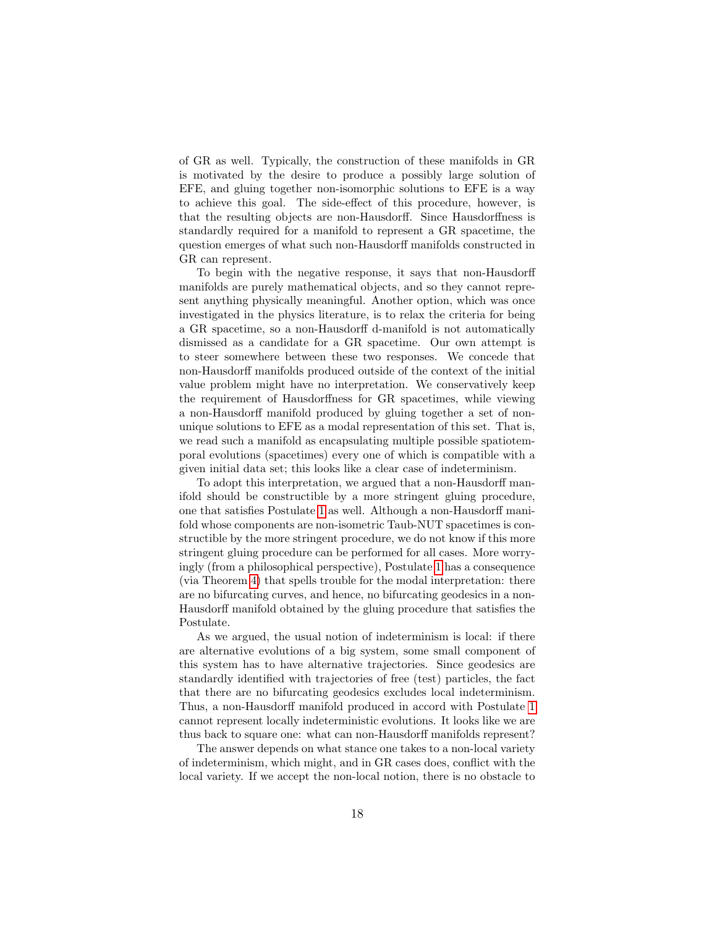of GR as well. Typically, the construction of these manifolds in GR is motivated by the desire to produce a possibly large solution of EFE, and gluing together non-isomorphic solutions to EFE is a way to achieve this goal. The side-effect of this procedure, however, is that the resulting objects are non-Hausdorff. Since Hausdorffness is standardly required for a manifold to represent a GR spacetime, the question emerges of what such non-Hausdorff manifolds constructed in GR can represent.

To begin with the negative response, it says that non-Hausdorff manifolds are purely mathematical objects, and so they cannot represent anything physically meaningful. Another option, which was once investigated in the physics literature, is to relax the criteria for being a GR spacetime, so a non-Hausdorff d-manifold is not automatically dismissed as a candidate for a GR spacetime. Our own attempt is to steer somewhere between these two responses. We concede that non-Hausdorff manifolds produced outside of the context of the initial value problem might have no interpretation. We conservatively keep the requirement of Hausdorffness for GR spacetimes, while viewing a non-Hausdorff manifold produced by gluing together a set of nonunique solutions to EFE as a modal representation of this set. That is, we read such a manifold as encapsulating multiple possible spatiotemporal evolutions (spacetimes) every one of which is compatible with a given initial data set; this looks like a clear case of indeterminism.

To adopt this interpretation, we argued that a non-Hausdorff manifold should be constructible by a more stringent gluing procedure, one that satisfies Postulate [1](#page-15-0) as well. Although a non-Hausdorff manifold whose components are non-isometric Taub-NUT spacetimes is constructible by the more stringent procedure, we do not know if this more stringent gluing procedure can be performed for all cases. More worryingly (from a philosophical perspective), Postulate [1](#page-15-0) has a consequence (via Theorem [4\)](#page-14-0) that spells trouble for the modal interpretation: there are no bifurcating curves, and hence, no bifurcating geodesics in a non-Hausdorff manifold obtained by the gluing procedure that satisfies the Postulate.

As we argued, the usual notion of indeterminism is local: if there are alternative evolutions of a big system, some small component of this system has to have alternative trajectories. Since geodesics are standardly identified with trajectories of free (test) particles, the fact that there are no bifurcating geodesics excludes local indeterminism. Thus, a non-Hausdorff manifold produced in accord with Postulate [1](#page-15-0) cannot represent locally indeterministic evolutions. It looks like we are thus back to square one: what can non-Hausdorff manifolds represent?

The answer depends on what stance one takes to a non-local variety of indeterminism, which might, and in GR cases does, conflict with the local variety. If we accept the non-local notion, there is no obstacle to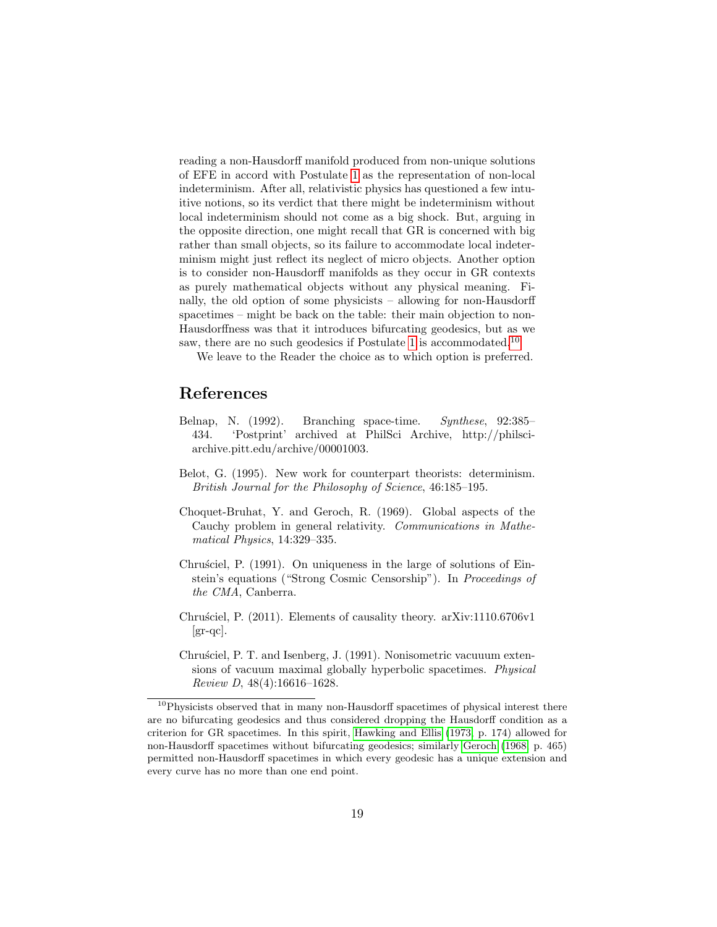reading a non-Hausdorff manifold produced from non-unique solutions of EFE in accord with Postulate [1](#page-15-0) as the representation of non-local indeterminism. After all, relativistic physics has questioned a few intuitive notions, so its verdict that there might be indeterminism without local indeterminism should not come as a big shock. But, arguing in the opposite direction, one might recall that GR is concerned with big rather than small objects, so its failure to accommodate local indeterminism might just reflect its neglect of micro objects. Another option is to consider non-Hausdorff manifolds as they occur in GR contexts as purely mathematical objects without any physical meaning. Finally, the old option of some physicists – allowing for non-Hausdorff spacetimes – might be back on the table: their main objection to non-Hausdorffness was that it introduces bifurcating geodesics, but as we saw, there are no such geodesics if Postulate [1](#page-15-0) is accommodated.<sup>[10](#page-18-6)</sup>

We leave to the Reader the choice as to which option is preferred.

### References

- <span id="page-18-0"></span>Belnap, N. (1992). Branching space-time. Synthese, 92:385– 434. 'Postprint' archived at PhilSci Archive, http://philsciarchive.pitt.edu/archive/00001003.
- <span id="page-18-5"></span>Belot, G. (1995). New work for counterpart theorists: determinism. British Journal for the Philosophy of Science, 46:185–195.
- <span id="page-18-4"></span>Choquet-Bruhat, Y. and Geroch, R. (1969). Global aspects of the Cauchy problem in general relativity. Communications in Mathematical Physics, 14:329–335.
- <span id="page-18-3"></span>Chrusciel, P. (1991). On uniqueness in the large of solutions of Einstein's equations ("Strong Cosmic Censorship"). In Proceedings of the CMA, Canberra.
- <span id="page-18-2"></span>Chrusciel, P. (2011). Elements of causality theory. arXiv:1110.6706v1  $\left[\text{gr-qc}\right]$ .
- <span id="page-18-1"></span>Chrusciel, P. T. and Isenberg, J. (1991). Nonisometric vacuuum extensions of vacuum maximal globally hyperbolic spacetimes. Physical Review D, 48(4):16616–1628.

<span id="page-18-6"></span><sup>&</sup>lt;sup>10</sup>Physicists observed that in many non-Hausdorff spacetimes of physical interest there are no bifurcating geodesics and thus considered dropping the Hausdorff condition as a criterion for GR spacetimes. In this spirit, [Hawking and Ellis](#page-19-3) [\(1973,](#page-19-3) p. 174) allowed for non-Hausdorff spacetimes without bifurcating geodesics; similarly [Geroch](#page-19-10) [\(1968,](#page-19-10) p. 465) permitted non-Hausdorff spacetimes in which every geodesic has a unique extension and every curve has no more than one end point.